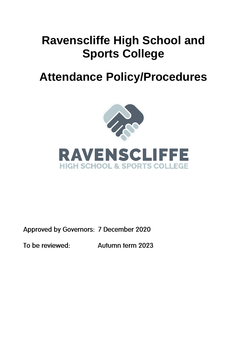# **Ravenscliffe High School and Sports College**

# **Attendance Policy/Procedures**





Approved by Governors: 7 December 2020

To be reviewed:

Autumn term 2023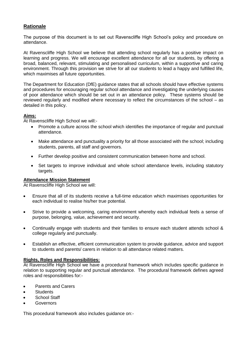# **Rationale**

The purpose of this document is to set out Ravenscliffe High School's policy and procedure on attendance.

At Ravenscliffe High School we believe that attending school regularly has a positive impact on learning and progress. We will encourage excellent attendance for all our students, by offering a broad, balanced, relevant, stimulating and personalised curriculum, within a supportive and caring environment. Through this provision we strive for all our students to lead a happy and fulfilled life, which maximises all future opportunities.

The Department for Education (DfE) guidance states that all schools should have effective systems and procedures for encouraging regular school attendance and investigating the underlying causes of poor attendance which should be set out in an attendance policy. These systems should be reviewed regularly and modified where necessary to reflect the circumstances of the school – as detailed in this policy.

#### **Aims:**

At Ravenscliffe High School we will:-

- Promote a culture across the school which identifies the importance of regular and punctual attendance.
- Make attendance and punctuality a priority for all those associated with the school; including students, parents, all staff and governors.
- Further develop positive and consistent communication between home and school.
- Set targets to improve individual and whole school attendance levels, including statutory targets.

#### **Attendance Mission Statement**

At Ravenscliffe High School we will:

- Ensure that all of its students receive a full-time education which maximises opportunities for each individual to realise his/her true potential.
- Strive to provide a welcoming, caring environment whereby each individual feels a sense of purpose, belonging, value, achievement and security.
- Continually engage with students and their families to ensure each student attends school & college regularly and punctually.
- Establish an effective, efficient communication system to provide guidance, advice and support to students and parents/ carers in relation to all attendance related matters.

#### **Rights, Roles and Responsibilities:**

At Ravenscliffe High School we have a procedural framework which includes specific guidance in relation to supporting regular and punctual attendance. The procedural framework defines agreed roles and responsibilities for:-

- Parents and Carers
- Students
- School Staff
- Governors

This procedural framework also includes guidance on:-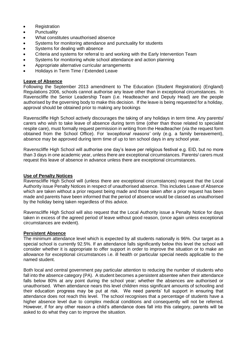- **Registration**
- Punctuality
- What constitutes unauthorised absence
- Systems for monitoring attendance and punctuality for students
- Systems for dealing with absence
- Criteria and systems for referral to and working with the Early Intervention Team
- Systems for monitoring whole school attendance and action planning
- Appropriate alternative curricular arrangements
- Holidays in Term Time / Extended Leave

#### **Leave of Absence**

Following the September 2013 amendment to The Education (Student Registration) (England) Regulations 2006, schools cannot authorise any leave other than in exceptional circumstances. In Ravenscliffe the Senior Leadership Team (i.e. Headteacher and Deputy Head) are the people authorised by the governing body to make this decision. If the leave is being requested for a holiday, approval should be obtained prior to making any bookings

Ravenscliffe High School actively discourages the taking of any holidays in term time. Any parents/ carers who wish to take leave of absence during term time (other than those related to specialist respite care), must formally request permission in writing from the Headteacher (via the request form obtained from the School Office). For *'exceptional reasons'* only (e.g. a family bereavement), absence may be approved during term time of up to ten school days in any school year.

Ravenscliffe High School will authorise one day's leave per religious festival e.g. EID, but no more than 3 days in one academic year, unless there are exceptional circumstances. Parents/ carers must request this leave of absence in advance unless there are exceptional circumstances.

#### **Use of Penalty Notices**

Ravenscliffe High School will (unless there are exceptional circumstances) request that the Local Authority issue Penalty Notices in respect of unauthorised absence. This includes Leave of Absence which are taken without a prior request being made and those taken after a prior request has been made and parents have been informed that the period of absence would be classed as unauthorised by the holiday being taken regardless of this advice.

Ravenscliffe High School will also request that the Local Authority issue a Penalty Notice for days taken in excess of the agreed period of leave without good reason, (once again unless exceptional circumstances are evident).

#### **Persistent Absence**

The minimum attendance level which is expected by all students nationally is 96%. Our target as a special school is currently 92.5%. If an attendance falls significantly below this level the school will consider whether it is appropriate to offer support in order to improve the situation or to make an allowance for exceptional circumstances i.e. ill health or particular special needs applicable to the named student.

Both local and central government pay particular attention to reducing the number of students who fall into the absence category (PA). A student becomes a persistent absentee when their attendance falls below 80% at any point during the school year; whether the absences are authorised or unauthorised. When attendance nears this level children miss significant amounts of schooling and their education progress may be put at risk. We need parents' full support in ensuring that attendance does not reach this level. The school recognises that a percentage of students have a higher absence level due to complex medical conditions and consequently will not be referred. However, if for any other reason a child's attendance does fall into this category, parents will be asked to do what they can to improve the situation.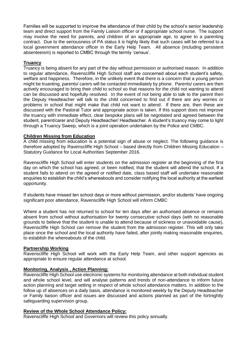Families will be supported to improve the attendance of their child by the school's senior leadership team and direct support from the Family Liaison officer or if appropriate school nurse. The support may involve the need for parents, and children of an appropriate age, to agree to a parenting contract. Due to the seriousness of PA status it is highly likely that such cases will be referred to a local government attendance officer in the Early Help Team. All absence (including persistent absenteeism) is reported to CMBC through the termly 'census'.

## **Truancy**

Truancy is being absent for any part of the day without permission or authorised reason. In addition to regular attendance, Ravenscliffe High School staff are concerned about each student's safety, welfare and happiness. Therefore, in the unlikely event that there is a concern that a young person might be truanting, parents/ carers will be contacted immediately by phone. Parents/ carers are then actively encouraged to bring their child to school so that reasons for the child not wanting to attend can be discussed and hopefully resolved. In the event of not being able to talk to the parent then the Deputy Headteacher will talk to the child concerned to find out if there are any worries or problems in school that might make that child not want to attend. If there are, then these are discussed with the Pastoral Tutor and appropriate action is taken. If this support does not improve the truancy with immediate effect, clear bespoke plans will be negotiated and agreed between the student, parent/carer and Deputy Headteacher/ Headteacher. A student's truancy may come to light through a Truancy Sweep, which is a joint operation undertaken by the Police and CMBC.

#### **Children Missing from Education**

A child missing from education is a potential sign of abuse or neglect. The following guidance is therefore adopted by Ravenscliffe High School – based directly from Children Missing Education – Statutory Guidance for Local Authorities September 2016.

Ravenscliffe High School will enter students on the admission register at the beginning of the first day on which the school has agreed, or been notified, that the student will attend the school. If a student fails to attend on the agreed or notified date, class based staff will undertake reasonable enquiries to establish the child's whereabouts and consider notifying the local authority at the earliest opportunity.

If students have missed ten school days or more without permission, and/or students' have ongoing significant poor attendance, Ravenscliffe High School will inform CMBC

Where a student has not returned to school for ten days after an authorised absence or remains absent from school without authorisation for twenty consecutive school days (with no reasonable grounds to believe that the student is unable to attend because of sickness or unavoidable cause), Ravenscliffe High School can remove the student from the admission register. This will only take place once the school and the local authority have failed, after jointly making reasonable enquiries, to establish the whereabouts of the child.

#### **Partnership Working**

Ravenscliffe High School will work with the Early Help Team, and other support agencies as appropriate to ensure regular attendance at school.

#### **Monitoring, Analysis , Action Planning:**

Ravenscliffe High School use electronic systems for monitoring attendance at both individual student and whole school level, and will analyse patterns and trends of non-attendance to inform future action planning and target setting in respect of whole school attendance matters. In addition to the follow up of absences on a daily basis, attendance is monitored weekly by the Deputy Headteacher or Family liaison officer and issues are discussed and actions planned as part of the fortnightly safeguarding supervision group.

#### **Review of the Whole School Attendance Policy:**

Ravenscliffe High School and Governors will review this policy annually.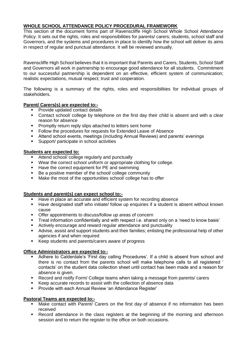# **WHOLE SCHOOL ATTENDANCE POLICY PROCEDURAL FRAMEWORK**

This section of the document forms part of Ravenscliffe High School Whole School Attendance Policy. It sets out the rights, roles and responsibilities for parents/ carers; students, school staff and Governors, and the systems and procedures in place to identify how the school will deliver its aims in respect of regular and punctual attendance. It will be reviewed annually.

Ravenscliffe High School believes that it is important that Parents and Carers, Students, School Staff and Governors all work in partnership to encourage good attendance for all students. Commitment to our successful partnership is dependent on an effective, efficient system of communication; realistic expectations, mutual respect; trust and cooperation.

The following is a summary of the rights, roles and responsibilities for individual groups of stakeholders.

## **Parent/ Carers(s) are expected to:-**

- Provide updated contact details
- Contact school/ college by telephone on the first day their child is absent and with a clear reason for absence
- **Promptly return reply slips attached to letters sent home**
- **Follow the procedures for requests for Extended Leave of Absence**
- Attend school events, meetings (including Annual Reviews) and parents' evenings
- Support/ participate in school activities

#### **Students are expected to:**

- Attend school/ college regularly and punctually
- Wear the correct school uniform or appropriate clothing for college.
- **Have the correct equipment for PE and swimming**
- Be a positive member of the school college community
- **Make the most of the opportunities school/ college has to offer**

# **Students and parent(s) can expect school to:-**

- Have in place an accurate and efficient system for recording absence
- Have designated staff who initiate/ follow up enquiries if a student is absent without known cause
- Offer appointments to discuss/follow up areas of concern
- Treat information confidentially and with respect i.e. shared only on a 'need to know basis'
- Actively encourage and reward regular attendance and punctuality
- Advise, assist and support students and their families; enlisting the professional help of other agencies if and when required
- Keep students and parents/carers aware of progress

#### **Office Administrators are expected to:-**

- Adhere to Calderdale's 'First day calling Procedures'. If a child is absent from school and there is no contact from the parents school will make telephone calls to all registered ' contacts' on the student data collection sheet until contact has been made and a reason for absence is given.
- Record and notify Form/ College teams when taking a message from parents/ carers
- Keep accurate records to assist with the collection of absence data
- **Provide with each Annual Review 'an Attendance Register'**

#### **Pastoral Teams are expected to:-**

- Make contact with Parent/ Carers on the first day of absence if no information has been received
- Record attendance in the class registers at the beginning of the morning and afternoon session and to return the register to the office on both occasions.